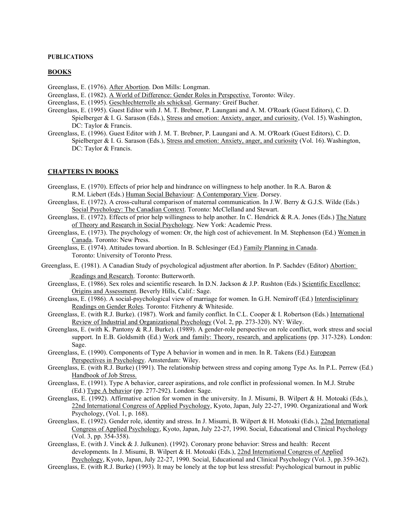## **PUBLICATIONS**

## **BOOKS**

Greenglass, E. (1976). After Abortion. Don Mills: Longman.

- Greenglass, E. (1982). A World of Difference: Gender Roles in Perspective. Toronto: Wiley.
- Greenglass, E. (1995). Geschlechterrolle als schicksal. Germany: Greif Bucher.
- Greenglass, E. (1995). Guest Editor with J. M. T. Brebner, P. Laungani and A. M. O'Roark (Guest Editors), C. D. Spielberger & I. G. Sarason (Eds.), Stress and emotion: Anxiety, anger, and curiosity, (Vol. 15).Washington, DC: Taylor & Francis.
- Greenglass, E. (1996). Guest Editor with J. M. T. Brebner, P. Laungani and A. M. O'Roark (Guest Editors), C. D. Spielberger & I. G. Sarason (Eds.), Stress and emotion: Anxiety, anger, and curiosity (Vol. 16). Washington, DC: Taylor & Francis.

## **CHAPTERS IN BOOKS**

- Greenglass, E. (1970). Effects of prior help and hindrance on willingness to help another. In R.A. Baron & R.M. Liebert (Eds.) Human Social Behaviour: A Contemporary View. Dorsey.
- Greenglass, E. (1972). A cross-cultural comparison of maternal communication. In J.W. Berry & G.J.S. Wilde (Eds.) Social Psychology: The Canadian Context. Toronto: McClelland and Stewart.
- Greenglass, E. (1972). Effects of prior help willingness to help another. In C. Hendrick & R.A. Jones (Eds.) The Nature of Theory and Research in Social Psychology. New York: Academic Press.
- Greenglass, E. (1973). The psychology of women: Or, the high cost of achievement. In M. Stephenson (Ed.) Women in Canada. Toronto: New Press.
- Greenglass, E. (1974). Attitudes toward abortion. In B. Schlesinger (Ed.) Family Planning in Canada. Toronto: University of Toronto Press.
- Greenglass, E. (1981). A Canadian Study of psychological adjustment after abortion. In P. Sachdev (Editor) Abortion:

Readings and Research. Toronto: Butterworth.

- Greenglass, E. (1986). Sex roles and scientific research. In D.N. Jackson & J.P. Rushton (Eds.) Scientific Excellence: Origins and Assessment. Beverly Hills, Calif.: Sage.
- Greenglass, E. (1986). A social-psychological view of marriage for women. In G.H. Nemiroff (Ed.) Interdisciplinary Readings on Gender Roles. Toronto: Fitzhenry & Whiteside.
- Greenglass, E. (with R.J. Burke). (1987). Work and family conflict. In C.L. Cooper & I. Robertson (Eds.) International Review of Industrial and Organizational Psychology (Vol. 2, pp. 273-320). NY: Wiley.
- Greenglass, E. (with K. Pantony & R.J. Burke). (1989). A gender-role perspective on role conflict, work stress and social support. In E.B. Goldsmith (Ed.) Work and family: Theory, research, and applications (pp. 317-328). London: Sage.
- Greenglass, E. (1990). Components of Type A behavior in women and in men. In R. Takens (Ed.) European Perspectives in Psychology. Amsterdam: Wiley.
- Greenglass, E. (with R.J. Burke) (1991). The relationship between stress and coping among Type As. In P.L. Perrew (Ed.) Handbook of Job Stress.
- Greenglass, E. (1991). Type A behavior, career aspirations, and role conflict in professional women. In M.J. Strube (Ed.) Type A behavior (pp. 277-292). London: Sage.
- Greenglass, E. (1992). Affirmative action for women in the university. In J. Misumi, B. Wilpert & H. Motoaki (Eds.), 22nd International Congress of Applied Psychology, Kyoto, Japan, July 22-27, 1990. Organizational and Work Psychology, (Vol. 1, p. 168).
- Greenglass, E. (1992). Gender role, identity and stress. In J. Misumi, B. Wilpert & H. Motoaki (Eds.), 22nd International Congress of Applied Psychology, Kyoto, Japan, July 22-27, 1990. Social, Educational and Clinical Psychology (Vol. 3, pp. 354-358).
- Greenglass, E. (with J. Vinck & J. Julkunen). (1992). Coronary prone behavior: Stress and health: Recent developments. In J. Misumi, B. Wilpert & H. Motoaki (Eds.), 22nd International Congress of Applied Psychology, Kyoto, Japan, July 22-27, 1990. Social, Educational and Clinical Psychology (Vol. 3, pp.359-362). Greenglass, E. (with R.J. Burke) (1993). It may be lonely at the top but less stressful: Psychological burnout in public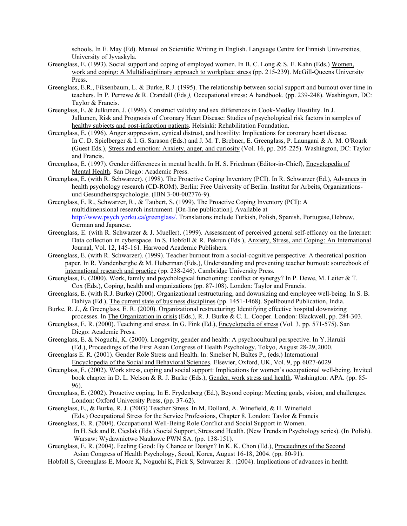schools. In E. May (Ed). Manual on Scientific Writing in English. Language Centre for Finnish Universities, University of Jyvaskyla.

- Greenglass, E. (1993). Social support and coping of employed women. In B. C. Long & S. E. Kahn (Eds.) Women, work and coping: A Multidisciplinary approach to workplace stress (pp. 215-239). McGill-Queens University Press.
- Greenglass, E.R., Fiksenbaum, L. & Burke, R.J. (1995). The relationship between social support and burnout over time in teachers. In P. Perrewe & R. Crandall (Eds*.),* Occupational stress: A handbook. (pp. 239-248). Washington, DC: Taylor & Francis.
- Greenglass, E. & Julkunen, J. (1996). Construct validity and sex differences in Cook-Medley Hostility. In J. Julkunen, Risk and Prognosis of Coronary Heart Disease: Studies of psychological risk factors in samples of healthy subjects and post-infarction patients. Helsinki: Rehabilitation Foundation.
- Greenglass, E. (1996). Anger suppression, cynical distrust, and hostility: Implications for coronary heart disease. In C. D. Spielberger & I. G. Sarason (Eds.) and J. M. T. Brebner, E. Greenglass, P. Laungani & A. M. O'Roark (Guest Eds.), Stress and emotion: Anxiety, anger, and curiosity (Vol. 16, pp. 205-225). Washington, DC: Taylor and Francis.
- Greenglass, E. (1997). Gender differences in mental health. In H. S. Friedman (Editor-in-Chief), Encyclopedia of Mental Health. San Diego: Academic Press.
- Greenglass, E. (with R. Schwarzer). (1998). The Proactive Coping Inventory (PCI). In R. Schwarzer (Ed.), Advances in health psychology research (CD-ROM). Berlin: Free University of Berlin. Institut for Arbeits, Organizationsund Gesundheitspsychologie. (IBN 3-00-002776-9).
- Greenglass, E. R., Schwarzer, R., & Taubert, S. (1999). The Proactive Coping Inventory (PCI): A multidimensional research instrument. [On-line publication]. Available at [http://www.psych.yorku.ca/greenglass/. T](http://www.psych.yorku.ca/greenglass/)ranslations include Turkish, Polish, Spanish, Portugese,Hebrew, German and Japanese.
- Greenglass, E. (with R. Schwarzer & J. Mueller). (1999). Assessment of perceived general self-efficacy on the Internet: Data collection in cyberspace. In S. Hobfoll & R. Pekrun (Eds.), Anxiety, Stress, and Coping: An International Journal, Vol. 12, 145-161. Harwood Academic Publishers.
- Greenglass, E. (with R. Schwarzer). (1999). Teacher burnout from a social-cognitive perspective: A theoretical position paper. In R. Vandenberghe & M. Huberman (Eds.), Understanding and preventing teacher burnout: sourcebook of international research and practice (pp. 238-246). Cambridge University Press.
- Greenglass, E. (2000). Work, family and psychological functioning: conflict or synergy? In P. Dewe, M. Leiter & T. Cox (Eds.), Coping, health and organizations (pp. 87-108). London: Taylor and Francis.
- Greenglass, E. (with R.J. Burke) (2000). Organizational restructuring, and downsizing and employee well-being. In S. B. Dahiya (Ed.), The current state of business disciplines (pp. 1451-1468). Spellbound Publication, India.
- Burke, R. J., & Greenglass, E. R. (2000). Organizational restructuring: Identifying effective hospital downsizing processes. In The Organization in crisis (Eds.), R. J. Burke & C. L. Cooper. London: Blackwell, pp. 284-303.
- Greenglass, E. R. (2000). Teaching and stress. In G. Fink (Ed.), Encyclopedia of stress (Vol. 3, pp. 571-575). San Diego: Academic Press.
- Greenglass, E. & Noguchi, K. (2000). Longevity, gender and health: A psychocultural perspective. In Y.Haruki (Ed.), Proceedings of the First Asian Congress of Health Psychology, Tokyo, August 28-29,2000.
- Greenglass E. R. (2001). Gender Role Stress and Health. In: Smelser N, Baltes P., (eds.) International Encyclopedia of the Social and Behavioral Sciences. Elsevier, Oxford, UK, Vol. 9, pp.6027-6029.
- Greenglass, E. (2002). Work stress, coping and social support: Implications for women's occupational well-being. Invited book chapter in D. L. Nelson & R. J. Burke (Eds.), Gender, work stress and health. Washington: APA. (pp. 85- 96).
- Greenglass, E. (2002). Proactive coping. In E. Frydenberg (Ed.), Beyond coping: Meeting goals, vision, and challenges. London: Oxford University Press, (pp. 37-62).
- Greenglass, E., & Burke, R. J. (2003) Teacher Stress. In M. Dollard, A. Winefield, & H. Winefield (Eds.) Occupational Stress for the Service Professions, Chapter 8. London: Taylor & Francis
- Greenglass, E. R. (2004). Occupational Well-Being Role Conflict and Social Support in Women. In H. Sek and R. Cieslak (Eds.) Social Support, Stress and Health. (New Trendsin Psychology series). (In Polish). Warsaw: Wydawnictwo Naukowe PWN SA. (pp. 138-151).
- Greenglass, E. R. (2004). Feeling Good: By Chance or Design? In K. K. Chon (Ed.), Proceedings of the Second Asian Congress of Health Psychology, Seoul, Korea, August 16-18, 2004. (pp. 80-91).
- Hobfoll S, Greenglass E, Moore K, Noguchi K, Pick S, Schwarzer R . (2004). Implications of advances in health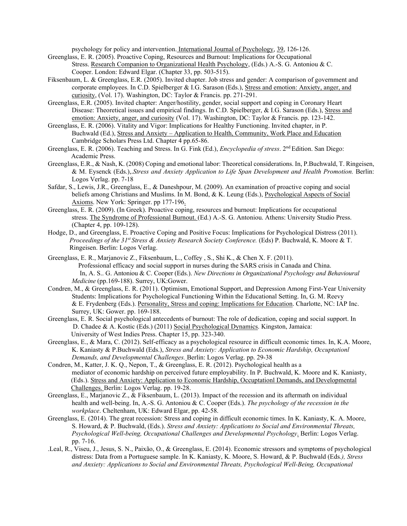psychology for policy and intervention. International Journal of Psychology, 39, 126-126.

- Greenglass, E. R. (2005). Proactive Coping, Resources and Burnout: Implications for Occupational Stress. Research Companion to Organizational Health Psychology, (Eds.) A.-S. G. Antoniou & C. Cooper. London: Edward Elgar. (Chapter 33, pp. 503-515).
- Fiksenbaum, L. & Greenglass, E.R. (2005). Invited chapter. Job stress and gender: A comparison of government and corporate employees. In C.D. Spielberger & I.G. Sarason (Eds.), Stress and emotion: Anxiety, anger, and curiosity, (Vol. 17). Washington, DC: Taylor & Francis. pp. 271-291.
- Greenglass, E.R. (2005). Invited chapter: Anger/hostility, gender, social support and coping in Coronary Heart Disease: Theoretical issues and empirical findings. In C.D. Spielberger, & I.G. Sarason (Eds.), Stress and emotion: Anxiety, anger, and curiosity (Vol. 17). Washington, DC: Taylor & Francis. pp. 123-142.
- Greenglass, E. R. (2006). Vitality and Vigor: Implications for Healthy Functioning. Invited chapter, in P. Buchwald (Ed.), Stress and Anxiety - Application to Health, Community, Work Place and Education Cambridge Scholars Press Ltd. Chapter 4 pp.65-86.
- Greenglass, E. R. (2006). Teaching and Stress. In G. Fink (Ed.), *Encyclopedia of stress*. 2nd Edition. San Diego: Academic Press.
- Greenglass, E.R., & Nash, K. (2008) Coping and emotional labor: Theoretical considerations. In, P.Buchwald, T. Ringeisen, & M. Eysenck (Eds.),.*Stress and Anxiety Application to Life Span Development and Health Promotion.* Berlin: Logos Verlag. pp. 7-18
- Safdar, S., Lewis, J.R., Greenglass, E., & Daneshpour, M. (2009). An examination of proactive coping and social beliefs among Christians and Muslims. In M. Bond, & K. Leung (Eds.), Psychological Aspects of Social Axioms. New York: Springer. pp 177-196.
- Greenglass, E. R. (2009). (In Greek). Proactive coping, resources and burnout: Implications for occupational stress. The Syndrome of Professional Burnout. (Ed.) A.-S. G. Antoniou. Athens: University Studio Press. (Chapter 4, pp. 109-128).
- Hodge, D., and Greenglass, E. Proactive Coping and Positive Focus: Implications for Psychological Distress (2011). *Proceedings of the 31<sup>st</sup> Stress & Anxiety Research Society Conference.* (Eds) P. Buchwald, K. Moore & T. Ringeisen. Berlin: Logos Verlag.
- Greenglass, E. R., Marjanovic Z., Fiksenbaum, L., Coffey , S., Shi K., & Chen X. F. (2011). Professional efficacy and social support in nurses during the SARS crisis in Canada and China. In, A. S.. G. Antoniou & C. Cooper (Eds.). *New Directions in Organizational Psychology and Behavioural Medicine* (pp.169-188). Surrey, UK:Gower.
- Condren, M., & Greenglass, E. R. (2011). Optimism, Emotional Support, and Depression Among First-Year University Students: Implications for Psychological Functioning Within the Educational Setting. In, G. M. Reevy & E. Frydenberg (Eds.). Personality, Stress and coping: Implications for Education. Charlotte, NC: IAP Inc. Surrey, UK: Gower. pp. 169-188.
- Greenglass, E. R. Social psychological antecedents of burnout: The role of dedication, coping and social support. In D. Chadee & A. Kostic (Eds.) (2011) Social Psychological Dynamics. Kingston, Jamaica: University of West Indies Press. Chapter 15, pp. 323-340.
- Greenglass, E., & Mara, C. (2012). Self-efficacy as a psychological resource in difficult economic times. In, K.A. Moore, K. Kaniasty & P.Buchwald (Eds.), *Stress and Anxiety: Application to Economic Hardship, Occuptationl Demands, and Developmental Challenges.* Berlin: Logos Verlag. pp. 29-38
- Condren, M., Katter, J. K. Q., Nepon, T., & Greenglass, E. R. (2012). Psychological health as a mediator of economic hardship on perceived future employability. In P. Buchwald, K. Moore and K. Kaniasty, (Eds.). Stress and Anxiety: Application to Economic Hardship, Occuptationl Demands, and Developmental Challenges. Berlin: Logos Verlag. pp. 19-28.
- Greenglass, E., Marjanovic Z., & Fiksenbaum, L. (2013). Impact of the recession and its aftermath on individual health and well-being. In, A.-S. G. Antoniou & C. Cooper (Eds.). *The psychology of the recession in the workplace*. Cheltenham, UK: Edward Elgar, pp. 42-58.
- Greenglass, E. (2014). The great recession: Stress and coping in difficult economic times. In K. Kaniasty, K. A. Moore, S. Howard, & P. Buchwald, (Eds.). *Stress and Anxiety: Applications to Social and Environmental Threats, Psychological Well-being, Occupational Challenges and Developmental Psychology*. Berlin: Logos Verlag. pp. 7-16.
- .Leal, R., Viseu, J., Jesus, S. N., Paixão, O., & Greenglass, E. (2014). Economic stressors and symptoms of psychological distress: Data from a Portuguese sample. In K. Kaniasty, K. Moore, S. Howard, & P. Buchwald (Eds*.), Stress and Anxiety: Applications to Social and Environmental Threats, Psychological Well-Being, Occupational*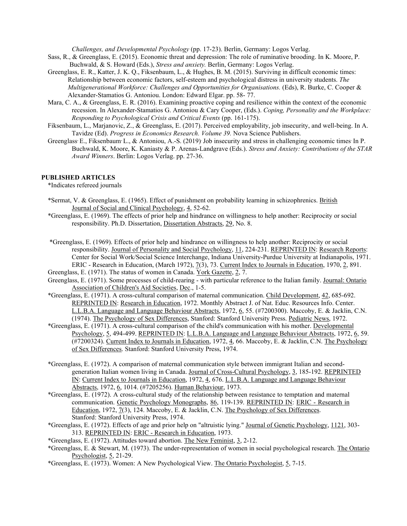*Challenges, and Developmental Psychology* (pp. 17-23). Berlin, Germany: Logos Verlag.

- Sass, R., & Greenglass, E. (2015). Economic threat and depression: The role of ruminative brooding. In K. Moore, P. Buchwald, & S. Howard (Eds.), *Stress and anxiety.* Berlin, Germany: Logos Verlag.
- Greenglass, E. R., Katter, J. K. Q., Fiksenbaum, L., & Hughes, B. M. (2015). Surviving in difficult economic times: Relationship between economic factors, self-esteem and psychological distress in university students. *The Multigenerational Workforce: Challenges and Opportunities for Organisations.* (Eds), R. Burke, C. Cooper & Alexander-Stamatios G. Antoniou. London: Edward Elgar. pp. 58- 77.
- Mara, C. A., & Greenglass, E. R. (2016). Examining proactive coping and resilience within the context of the economic recession. In Alexander-Stamatios G. Antoniou & Cary Cooper, (Eds.). *Coping, Personality and the Workplace: Responding to Psychological Crisis and Critical Events (pp. 161-175).*
- Fiksenbaum, L., Marjanovic, Z., & Greenglass, E. (2017). Perceived employability, job insecurity, and well-being. In A. Tavidze (Ed). *Progress in Economics Research. Volume 39.* Nova Science Publishers.
- Greenglass E., Fiksenbaum L., & Antoniou, A.-S. (2019) Job insecurity and stress in challenging economic times In P. Buchwald, K. Moore, K. Kaniasty & P. Arenas-Landgrave (Eds.). *Stress and Anxiety: Contributions of the STAR Award Winners*. Berlin: Logos Verlag. pp. 27-36.

## **PUBLISHED ARTICLES**

\*Indicates refereed journals

- \*Sermat, V. & Greenglass, E. (1965). Effect of punishment on probability learning in schizophrenics. British Journal of Social and Clinical Psychology, 4, 52-62.
- \*Greenglass, E. (1969). The effects of prior help and hindrance on willingness to help another: Reciprocity or social responsibility. Ph.D. Dissertation, Dissertation Abstracts, 29, No. 8.
- \*Greenglass, E. (1969). Effects of prior help and hindrance on willingness to help another: Reciprocity or social responsibility. Journal of Personality and Social Psychology, 11, 224-231. REPRINTED IN: Research Reports: Center for Social Work/Social Science Interchange, Indiana University-Purdue University at Indianapolis, 1971. ERIC - Research in Education, (March 1972), 7(3), 73. Current Index to Journals in Education, 1970, 2, 891.
- Greenglass, E. (1971). The status of women in Canada. York Gazette, 2, 7.
- Greenglass, E. (1971). Some processes of child-rearing with particular reference to the Italian family. Journal: Ontario Association of Children's Aid Societies, Dec., 1-5.
- \*Greenglass, E. (1971). A cross-cultural comparison of maternal communication. Child Development, 42, 685-692. REPRINTED IN: Research in Education, 1972. Monthly Abstract J. of Nat. Educ. Resources Info. Center. L.L.B.A. Language and Language Behaviour Abstracts, 1972, 6, 55. (#7200300). Maccoby, E. & Jacklin, C.N. (1974). The Psychology of Sex Differences, Stanford: Stanford University Press. Pediatric News, 1972.
- \*Greenglass, E. (1971). A cross-cultural comparison of the child's communication with his mother. Developmental Psychology, 5, 494-499. REPRINTED IN: L.L.B.A. Language and Language Behaviour Abstracts, 1972, 6, 59. (#7200324). Current Index to Journals in Education, 1972, 4, 66. Maccoby, E. & Jacklin, C.N. The Psychology of Sex Differences. Stanford: Stanford University Press, 1974.
- \*Greenglass, E. (1972). A comparison of maternal communication style between immigrant Italian and secondgeneration Italian women living in Canada. Journal of Cross-Cultural Psychology, 3, 185-192. REPRINTED IN: Current Index to Journals in Education, 1972, 4, 676. L.L.B.A. Language and Language Behaviour Abstracts, 1972, 6, 1014. (#7205256). Human Behaviour, 1973.
- \*Greenglass, E. (1972). A cross-cultural study of the relationship between resistance to temptation and maternal communication. Genetic Psychology Monographs, 86, 119-139. REPRINTED IN: ERIC - Research in Education, 1972, 7(3), 124. Maccoby, E. & Jacklin, C.N. The Psychology of Sex Differences. Stanford: Stanford University Press, 1974.
- \*Greenglass, E. (1972). Effects of age and prior help on "altruistic lying." Journal of Genetic Psychology, 1121, 303- 313. REPRINTED IN: ERIC - Research in Education, 1973.
- \*Greenglass, E. (1972). Attitudes toward abortion. The New Feminist, 3, 2-12.
- \*Greenglass, E. & Stewart, M. (1973). The under-representation of women in social psychological research. The Ontario Psychologist, 5, 21-29.
- \*Greenglass, E. (1973). Women: A New Psychological View. The Ontario Psychologist, 5, 7-15.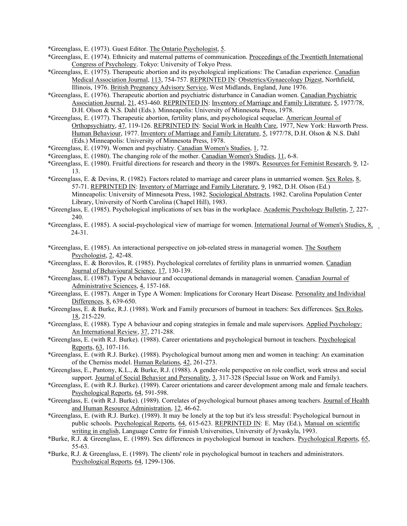\*Greenglass, E. (1973). Guest Editor. The Ontario Psychologist, 5.

- \*Greenglass, E. (1974). Ethnicity and maternal patterns of communication. Proceedings of the Twentieth International Congress of Psychology. Tokyo: University of Tokyo Press.
- \*Greenglass, E. (1975). Therapeutic abortion and its psychological implications: The Canadian experience. Canadian Medical Association Journal, 113, 754-757. REPRINTED IN: Obstetrics/Gynaecology Digest, Northfield, Illinois, 1976. British Pregnancy Advisory Service, West Midlands, England, June 1976.
- \*Greenglass, E. (1976). Therapeutic abortion and psychiatric disturbance in Canadian women. Canadian Psychiatric Association Journal, 21, 453-460. REPRINTED IN: Inventory of Marriage and Family Literature, 5, 1977/78, D.H. Olson & N.S. Dahl (Eds.). Minneapolis: University of Minnesota Press, 1978.
- \*Greenglass, E. (1977). Therapeutic abortion, fertility plans, and psychological sequelae. American Journal of Orthopsychiatry, 47, 119-126. REPRINTED IN: Social Work in Health Care, 1977, New York: Haworth Press. Human Behaviour, 1977. Inventory of Marriage and Family Literature, 5, 1977/78, D.H. Olson & N.S. Dahl (Eds.) Minneapolis: University of Minnesota Press, 1978.
- \*Greenglass, E. (1979). Women and psychiatry. Canadian Women's Studies, 1, 72.
- \*Greenglass, E. (1980). The changing role of the mother. Canadian Women's Studies, 11, 6-8.
- \*Greenglass, E. (1980). Fruitful directions for research and theory in the 1980's. Resources for Feminist Research, 9, 12- 13.
- \*Greenglass, E. & Devins, R. (1982). Factors related to marriage and career plans in unmarried women. Sex Roles, 8, 57-71. REPRINTED IN: Inventory of Marriage and Family Literature, 9, 1982, D.H. Olson (Ed.) Minneapolis: University of Minnesota Press, 1982. Sociological Abstracts, 1982. Carolina Population Center Library, University of North Carolina (Chapel Hill), 1983.
- \*Greenglass, E. (1985). Psychological implications of sex bias in the workplace. Academic Psychology Bulletin, 7, 227- 240.
- \*Greenglass, E. (1985). A social-psychological view of marriage for women. International Journal of Women's Studies, 8, 24-31.
- \*Greenglass, E. (1985). An interactional perspective on job-related stress in managerial women. The Southern Psychologist, 2, 42-48.
- \*Greenglass, E. & Borovilos, R. (1985). Psychological correlates of fertility plans in unmarried women. Canadian Journal of Behavioural Science, 17, 130-139.
- \*Greenglass, E. (1987). Type A behaviour and occupational demands in managerial women. Canadian Journal of Administrative Sciences, 4, 157-168.
- \*Greenglass, E. (1987). Anger in Type A Women: Implications for Coronary Heart Disease. Personality and Individual Differences, 8, 639-650.
- \*Greenglass, E. & Burke, R.J. (1988). Work and Family precursors of burnout in teachers: Sex differences. Sex Roles, 18, 215-229.
- \*Greenglass, E. (1988). Type A behaviour and coping strategies in female and male supervisors. Applied Psychology: An International Review, 37, 271-288.
- \*Greenglass, E. (with R.J. Burke). (1988). Career orientations and psychological burnout in teachers. Psychological Reports, 63, 107-116.
- \*Greenglass, E. (with R.J. Burke). (1988). Psychological burnout among men and women in teaching: An examination of the Cherniss model. Human Relations, 42, 261-273.
- \*Greenglass, E., Pantony, K.L., & Burke, R.J. (1988). A gender-role perspective on role conflict, work stress and social support. Journal of Social Behavior and Personality, 3, 317-328 (Special Issue on Work and Family).
- \*Greenglass, E. (with R.J. Burke). (1989). Career orientations and career development among male and female teachers. Psychological Reports, 64, 591-598.
- \*Greenglass, E. (with R.J. Burke). (1989). Correlates of psychological burnout phases among teachers. Journal of Health and Human Resource Administration, 12, 46-62.
- \*Greenglass, E. (with R.J. Burke). (1989). It may be lonely at the top but it's less stressful: Psychological burnout in public schools. Psychological Reports, 64, 615-623. REPRINTED IN: E. May (Ed.), Manual on scientific writing in english, Language Centre for Finnish Universities, University of Jyvaskyla, 1993.
- \*Burke, R.J. & Greenglass, E. (1989). Sex differences in psychological burnout in teachers. Psychological Reports, 65, 55-63.
- \*Burke, R.J. & Greenglass, E. (1989). The clients' role in psychological burnout in teachers and administrators. Psychological Reports, 64, 1299-1306.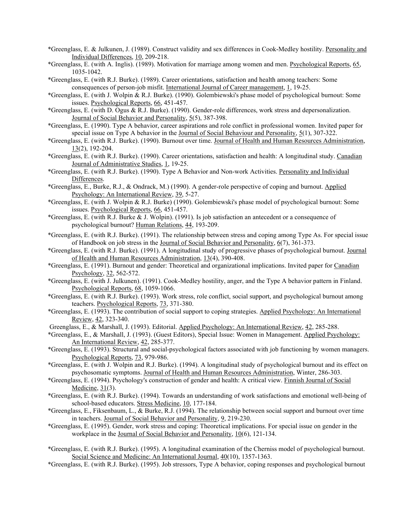- \*Greenglass, E. & Julkunen, J. (1989). Construct validity and sex differences in Cook-Medley hostility. Personality and Individual Differences, 10, 209-218.
- \*Greenglass, E. (with A. Inglis). (1989). Motivation for marriage among women and men. Psychological Reports, 65, 1035-1042.
- \*Greenglass, E. (with R.J. Burke). (1989). Career orientations, satisfaction and health among teachers: Some consequences of person-job misfit. International Journal of Career management, 1, 19-25.
- \*Greenglass, E. (with J. Wolpin & R.J. Burke). (1990). Golembiewski's phase model of psychological burnout: Some issues. Psychological Reports, 66, 451-457.
- \*Greenglass, E. (with D. Ogus & R.J. Burke). (1990). Gender-role differences, work stress and depersonalization. Journal of Social Behavior and Personality, 5(5), 387-398.
- \*Greenglass, E. (1990). Type A behavior, career aspirations and role conflict in professional women. Invited paper for special issue on Type A behavior in the Journal of Social Behaviour and Personality, 5(1), 307-322.
- \*Greenglass, E. (with R.J. Burke). (1990). Burnout over time. Journal of Health and Human Resources Administration, 13(2), 192-204.
- \*Greenglass, E. (with R.J. Burke). (1990). Career orientations, satisfaction and health: A longitudinal study. Canadian Journal of Administrative Studies, 1, 19-25.
- \*Greenglass, E. (with R.J. Burke). (1990). Type A Behavior and Non-work Activities. Personality and Individual Differences.
- \*Greenglass, E., Burke, R.J., & Ondrack, M.) (1990). A gender-role perspective of coping and burnout. Applied Psychology: An International Review, 39, 5-27.
- \*Greenglass, E. (with J. Wolpin & R.J. Burke) (1990). Golembiewski's phase model of psychological burnout: Some issues. Psychological Reports, 66, 451-457.
- \*Greenglass, E. (with R.J. Burke & J. Wolpin). (1991). Is job satisfaction an antecedent or a consequence of psychological burnout? Human Relations, 44, 193-209.
- \*Greenglass, E. (with R.J. Burke). (1991). The relationship between stress and coping among Type As. For special issue of Handbook on job stress in the Journal of Social Behavior and Personality, 6(7), 361-373.
- \*Greenglass, E. (with R.J. Burke). (1991). A longitudinal study of progressive phases of psychological burnout. Journal of Health and Human Resources Administration, 13(4), 390-408.
- \*Greenglass, E. (1991). Burnout and gender: Theoretical and organizational implications. Invited paper for Canadian Psychology, 32, 562-572.
- \*Greenglass, E. (with J. Julkunen). (1991). Cook-Medley hostility, anger, and the Type A behavior pattern in Finland. Psychological Reports, 68, 1059-1066.
- \*Greenglass, E. (with R.J. Burke). (1993). Work stress, role conflict, social support, and psychological burnout among teachers. Psychological Reports, 73, 371-380.
- \*Greenglass, E. (1993). The contribution of social support to coping strategies. Applied Psychology: An International Review, 42, 323-340.
- Greenglass, E., & Marshall, J. (1993). Editorial. Applied Psychology: An International Review, 42, 285-288.
- \*Greenglass, E., & Marshall, J. (1993). (Guest Editors), Special Issue: Women in Management. Applied Psychology: An International Review, 42, 285-377.
- \*Greenglass, E. (1993). Structural and social-psychological factors associated with job functioning by women managers. Psychological Reports, 73, 979-986.
- \*Greenglass, E. (with J. Wolpin and R.J. Burke). (1994). A longitudinal study of psychological burnout and its effect on psychosomatic symptoms. Journal of Health and Human Resources Administration, Winter, 286-303.
- \*Greenglass, E. (1994). Psychology's construction of gender and health: A critical view. Finnish Journal of Social Medicine, 31(3).
- \*Greenglass, E. (with R.J. Burke). (1994). Towards an understanding of work satisfactions and emotional well-being of school-based educators. Stress Medicine, 10, 177-184.
- \*Greenglass, E., Fiksenbaum, L., & Burke, R.J. (1994). The relationship between social support and burnout over time in teachers. Journal of Social Behavior and Personality, 9, 219-230.
- \*Greenglass, E. (1995). Gender, work stress and coping: Theoretical implications. For special issue on gender in the workplace in the Journal of Social Behavior and Personality, 10(6), 121-134.
- \*Greenglass, E. (with R.J. Burke). (1995). A longitudinal examination of the Cherniss model of psychological burnout. Social Science and Medicine: An International Journal,  $40(10)$ , 1357-1363.
- \*Greenglass, E. (with R.J. Burke). (1995). Job stressors, Type A behavior, coping responses and psychological burnout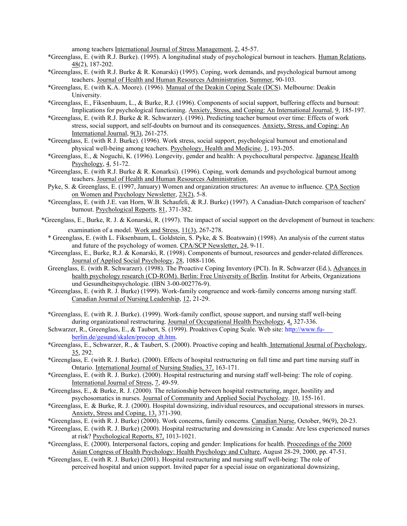among teachers International Journal of Stress Management, 2, 45-57.

- \*Greenglass, E. (with R.J. Burke). (1995). A longitudinal study of psychological burnout in teachers. Human Relations, 48(2), 187-202.
- \*Greenglass, E. (with R.J. Burke & R. Konarski) (1995). Coping, work demands, and psychological burnout among teachers. Journal of Health and Human Resources Administration, Summer, 90-103.
- \*Greenglass, E. (with K.A. Moore). (1996). Manual of the Deakin Coping Scale (DCS). Melbourne: Deakin University.
- \*Greenglass, E., Fiksenbaum, L., & Burke, R.J. (1996). Components of social support, buffering effects and burnout: Implications for psychological functioning. Anxiety, Stress, and Coping: An International Journal, 9, 185-197.
- \*Greenglass, E. (with R.J. Burke & R. Schwarzer). (1996). Predicting teacher burnout over time: Effects of work stress, social support, and self-doubts on burnout and its consequences. Anxiety, Stress, and Coping: An International Journal, 9(3), 261-275.
- \*Greenglass, E. (with R J. Burke). (1996). Work stress, social support, psychological burnout and emotionaland physical well-being among teachers. Psychology, Health and Medicine, 1, 193-205.
- \*Greenglass, E., & Noguchi, K. (1996). Longevity, gender and health: A psychocultural perspectve. Japanese Health Psychology, 4, 51-72.
- \*Greenglass, E. (with R.J. Burke & R. Konarksi). (1996). Coping, work demands and psychological burnout among teachers. Journal of Health and Human Resources Administration.
- Pyke, S. & Greenglass, E. (1997, January) Women and organization structures: An avenue to influence. CPA Section on Women and Psychology Newsletter, 23(2), 5-8.
- \*Greenglass, E. (with J.E. van Horn, W.B. Schaufeli, & R.J. Burke) (1997). A Canadian-Dutch comparison of teachers' burnout. Psychological Reports, 81, 371-382.
- \*Greenglass, E., Burke, R. J. & Konarski, R. (1997). The impact of social support on the development of burnout in teachers: examination of a model. Work and Stress, 11(3), 267-278.
	- \* Greenglass, E. (with L. Fiksenbaum, L. Goldstein, S. Pyke, & S. Boatswain) (1998). An analysis of the current status and future of the psychology of women. CPA/SCP Newsletter, 24, 9-11.
	- \*Greenglass, E., Burke, R.J. & Konarski, R. (1998). Components of burnout, resources and gender-related differences. Journal of Applied Social Psychology, 28, 1088-1106.
	- Greenglass, E. (with R. Schwarzer). (1998). The Proactive Coping Inventory (PCI). In R. Schwarzer (Ed.), Advances in health psychology research (CD-ROM). Berlin: Free University of Berlin. Institut for Arbeits, Organizations und Gesundheitspsychologie. (IBN 3-00-002776-9).
	- \*Greenglass, E. (with R. J. Burke) (1999). Work-family congruence and work-family concerns among nursing staff. Canadian Journal of Nursing Leadership, 12, 21-29.
	- \*Greenglass, E. (with R. J. Burke). (1999). Work-family conflict, spouse support, and nursing staff well-being during organizational restructuring. Journal of Occupational Health Psychology, 4, 327-336.
	- Schwarzer, R., Greenglass, E., & Taubert, S. (1999). Proaktives Coping Scale. Web site: [http://www.fu](http://www.fu-berlin.de/gesund/skalen/procop_dt.htm)[berlin.de/gesund/skalen/procop\\_dt.htm.](http://www.fu-berlin.de/gesund/skalen/procop_dt.htm)
	- \*Greenglass, E., Schwarzer, R., & Taubert, S. (2000). Proactive coping and health. International Journal of Psychology, 35, 292.
	- \*Greenglass, E. (with R. J. Burke). (2000). Effects of hospital restructuring on full time and part time nursing staff in Ontario. International Journal of Nursing Studies, 37, 163-171.
	- \*Greenglass, E. (with R. J. Burke). (2000). Hospital restructuring and nursing staff well-being: The role of coping. International Journal of Stress, 7, 49-59.
	- \*Greenglass, E., & Burke, R. J. (2000). The relationship between hospital restructuring, anger, hostility and psychosomatics in nurses. Journal of Community and Applied Social Psychology. 10, 155-161.
	- \*Greenglass, E. & Burke, R. J. (2000). Hospital downsizing, individual resources, and occupational stressors in nurses. Anxiety, Stress and Coping, 13, 371-390.
	- \*Greenglass, E. (with R. J. Burke) (2000). Work concerns, family concerns. Canadian Nurse, October, 96(9), 20-23.
	- \*Greenglass, E. (with R. J. Burke) (2000). Hospital restructuring and downsizing in Canada: Are less experienced nurses at risk? Psychological Reports, 87, 1013-1021.
	- \*Greenglass, E. (2000). Interpersonal factors, coping and gender: Implications for health. Proceedings of the 2000 Asian Congress of Health Psychology: Health Psychology and Culture, August 28-29, 2000, pp. 47-51.
	- \*Greenglass, E. (with R. J. Burke) (2001). Hospital restructuring and nursing staff well-being: The role of perceived hospital and union support. Invited paper for a special issue on organizational downsizing,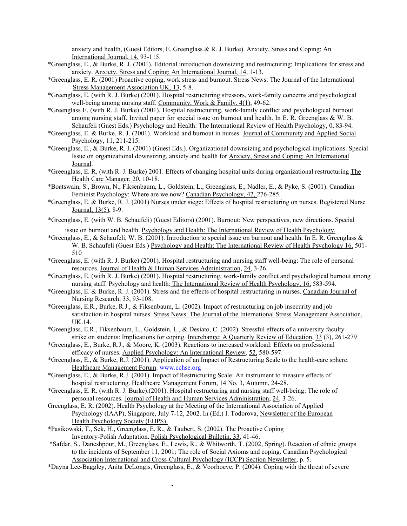anxiety and health, (Guest Editors, E. Greenglass & R. J. Burke). Anxiety, Stress and Coping: An International Journal, 14, 93-115.

- \*Greenglass, E., & Burke, R. J. (2001). Editorial introduction downsizing and restructuring: Implications for stress and anxiety. Anxiety, Stress and Coping: An International Journal, 14, 1-13.
- \*Greenglass, E. R. (2001) Proactive coping, work stress and burnout. Stress News: The Journal of the International Stress Management Association UK, 13, 5-8.
- \*Greenglass, E. (with R. J. Burke) (2001). Hospital restructuring stressors, work-family concerns and psychological well-being among nursing staff. Community, Work & Family, 4(1), 49-62.
- \*Greenglass E. (with R. J. Burke) (2001). Hospital restructuring, work-family conflict and psychological burnout among nursing staff. Invited paper for special issue on burnout and health. In E. R. Greenglass & W. B. Schaufeli (Guest Eds.) Psychology and Health: The International Review of Health Psychology, 0, 83-94.
- \*Greenglass, E. & Burke, R. J. (2001). Workload and burnout in nurses. Journal of Community and Applied Social Psychology, 11, 211-215.
- \*Greenglass, E., & Burke, R. J. (2001) (Guest Eds.). Organizational downsizing and psychological implications. Special Issue on organizational downsizing, anxiety and health for Anxiety, Stress and Coping: An International Journal.
- \*Greenglass, E. R. (with R. J. Burke) 2001. Effects of changing hospital units during organizational restructuring The Health Care Manager, 20, 10-18.
- \*Boatswain, S., Brown, N., Fiksenbaum, L., Goldstein, L., Greenglass, E., Nadler, E., & Pyke, S. (2001). Canadian Feminist Psychology: Where are we now? Canadian Psychology, 42, 276-285.
- \*Greenglass, E. & Burke, R. J. (2001) Nurses under siege: Effects of hospital restructuring on nurses. Registered Nurse Journal, 13(5), 8-9.
- \*Greenglass, E. (with W. B. Schaufeli) (Guest Editors) (2001). Burnout: New perspectives, new directions. Special issue on burnout and health. Psychology and Health: The International Review of Health Psychology.
- \*Greenglass, E., & Schaufeli, W. B. (2001). Introduction to special issue on burnout and health. In E. R. Greenglass & W. B. Schaufeli (Guest Eds.) Psychology and Health: The International Review of Health Psychology 16, 501-510
- \*Greenglass, E. (with R. J. Burke) (2001). Hospital restructuring and nursing staff well-being: The role of personal resources. Journal of Health & Human Services Administration, 24, 3-26.
- \*Greenglass, E. (with R. J. Burke) (2001). Hospital restructuring, work-family conflict and psychological burnout among nursing staff. Psychology and health: The International Review of Health Psychology, 16, 583-594.
- \*Greenglass, E. & Burke, R. J. (2001). Stress and the effects of hospital restructuring in nurses. Canadian Journal of Nursing Research, 33, 93-108.
- \*Greenglass, E.R., Burke, R.J., & Fiksenbaum, L. (2002). Impact of restructuring on job insecurity and job satisfaction in hospital nurses. Stress News: The Journal of the International Stress Management Association, UK.14.
- \*Greenglass, E.R., Fiksenbaum, L., Goldstein, L., & Desiato, C. (2002). Stressful effects of a university faculty strike on students: Implications for coping. Interchange: A Quarterly Review of Education, 33 (3), 261-279
- \*Greenglass, E., Burke, R.J., & Moore, K. (2003). Reactions to increased workload: Effects on professional efficacy of nurses. Applied Psychology: An International Review, 52, 580-597.
- \*Greenglass, E., & Burke, R.J. (2001). Application of an Impact of Restructuring Scale to the health-care sphere. Healthcare Management Forum. [www.cchse.org](http://www.cchse.org/)
- \*Greenglass, E., & Burke, R.J. (2001). Impact of Restructuring Scale: An instrument to measure effects of hospital restructuring. Healthcare Management Forum, 14 No. 3, Autumn, 24-28.
- \*Greenglass, E. R. (with R. J. Burke).(2001). Hospital restructuring and nursing staff well-being: The role of personal resources. Journal of Health and Human Services Administration, 24, 3-26.
- Greenglass, E. R. (2002). Health Psychology at the Meeting of the International Association of Applied Psychology (IAAP), Singapore, July 7-12, 2002. In (Ed.) I. Todorova, Newsletter of the European Health Psychology Society (EHPS).
- \*Pasikowski, T., Sek, H., Greenglass, E. R., & Taubert, S. (2002). The Proactive Coping Inventory-Polish Adaptation. Polish Psychological Bulletin, 33, 41-46.
- \*Safdar, S., Daneshpour, M., Greenglass, E., Lewis, R., & Whitworth, T. (2002, Spring). Reaction of ethnic groups to the incidents of September 11, 2001: The role of Social Axioms and coping. Canadian Psychological Association International and Cross-Cultural Psychology (ICCP) Section Newsletter, p. 5.
- \*Dayna Lee-Baggley, Anita DeLongis, Greenglass, E., & Voorhoeve, P. (2004). Coping with the threat of severe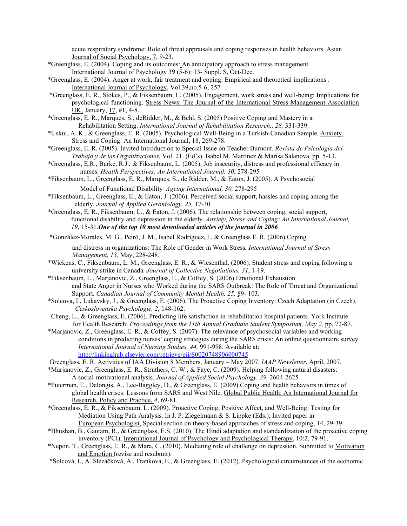acute respiratory syndrome: Role of threat appraisals and coping responses in health behaviors. Asian Journal of Social Psychology, 7, 9-23.

- \*Greenglass, E. (2004). Coping and its outcomes: An anticipatory approach to stress management. International Journal of Psychology 39 (5-6): 13- Suppl. S, Oct-Dec.
- \*Greenglass, E. (2004). [Anger at work, fair treatment and coping: Empirical and theoretical implications .](http://illumina.scholarsportal.info.ezproxy.library.yorku.ca/ids70/view_record.php?id=3&recnum=9&SID=llu34d0afhfsskhqsnv7300a37) International Journal of Psychology, Vol.39,no.5-6, 257- .
- \*Greenglass, E. R., Stokes, P., & Fiksenbaum, L. (2005). Engagement, work stress and well-being: Implications for psychological functioning. Stress News: The Journal of the International Stress Management Association UK, January, 17, #1, 4-8.
- \*Greenglass, E. R., Marques, S., deRidder, M., & Behl, S. (2005) Positive Coping and Mastery in a Rehabilitation Setting. *International Journal of Rehabilitation Research., 28,* 331-339.
- \*Uskul, A. K., & Greenglass, E. R. (2005). Psychological Well-Being in a Turkish-Canadian Sample. Anxiety, Stress and Coping: An International Journal, 18, 269-278.
- \*Greenglass, E. R. (2005). Invited Introduction to Special Issue on Teacher Burnout. *Revista de Psicología del Trabajo y de las Organizaciones*, Vol. 21. (Ed's). Isabel M. Martínez & Marisa Salanova. pp. 5-13.
- \*Greenglass, E.R., Burke, R.J., & Fiksenbaum, L. (2005). Job insecurity, distress and professional efficacy in nurses. *Health Perspectives: An International Journal, 30*, 278-295
- \*Fiksenbaum, L., Greenglass, E. R., Marques, S., de Ridder, M., & Eaton, J. (2005). A Psychosocial Model of Functional Disability. *Ageing International, 30,* 278-295
- \*Fiksenbaum, L., Greenglass, E., & Eaton, J. (2006). Perceived social support, hassles and coping among the elderly*. Journal of Applied Gerontology, 25,* 17-30.
- \*Greenglass, E. R., Fiksenbaum, L., & Eaton, J. (2006). The relationship between coping, social support, functional disability and depression in the elderly. *Anxiety, Stress and Coping: An International Journal, 19*, 15-31.*One of the top 10 most downloaded articles of the journal in 2006*

\*González-Morales, M. G., Peiró, J. M., Isabel Rodríguez, I., & Greenglass E. R. (2006) Coping

and distress in organizations: The Role of Gender in Work Stress*. International Journal of Stress Management, 13,* May, 228-248.

- \*Wickens, C., Fiksenbaum, L. M., Greenglass, E. R., & Wiesenthal. (2006). Student stress and coping following a university strike in Canada*. Journal of Collective Negotiations, 31*, 1-19.
- \*Fiksenbaum, L., Marjanovic, Z., Greenglass, E., & Coffey, S. (2006) Emotional Exhaustion and State Anger in Nurses who Worked during the SARS Outbreak: The Role of Threat and Organizational Support*. Canadian Journal of Community Mental Health, 25,* 89- 103.
- \*Solcova, I., Lukavsky, J., & Greenglass, E. (2006). The Proactive Coping Inventory: Czech Adaptation (in Czech). *Ceskoslovenska Psychologie, 2*, 148-162.
- Cheng, L., & Greenglass, E. (2006). Predicting life satisfaction in rehabilitation hospital patients. York Institute for Health Research: *Proceedings from the 11th Annual Graduate Student Symposium, May 2, pp. 72-87.*
- \*Marjanovic, Z., Greenglass, E. R., & Coffey, S. (2007). The relevance of psychosocial variables and working conditions in predicting nurses' coping strategies during the SARS crisis: An online questionnaire survey. *International Journal of Nursing Studies, 44,* 991-998. Available at: <http://linkinghub.elsevier.com/retrieve/pii/S0020748906000745>
- Greenglass, E. R. Activities of IAA Division 8 Members, January May 2007. *IAAP Newsletter*, April, 2007.
- \*Marjanovic, Z., Greenglass, E. R., Struthers, C. W., & Faye, C. (2009). Helping following natural disasters: A social-motivational analysis. *Journal of Applied Social Psychology, 39,* 2604-2625
- \*Puterman, E., Delongis, A., Lee-Baggley, D., & Greenglass, E. (2009).Coping and health behaviors in times of global health crises: Lessons from SARS and West Nile. Global Public Health: An International Journal for Research, Policy and Practice, *4*, 69-81.
- \*Greenglass, E. R., & Fiksenbaum, L. (2009). Proactive Coping, Positive Affect, and Well-Being: Testing for Mediation Using Path Analysis. In J. P. Ziegelmann & S. Lippke (Eds.), Invited paper in European Psychologist, Special section on theory-based approaches of stress and coping, 14, 29-39.
- \*Bhushan, B., Gautam, R., & Greenglass, E.S. (2010). The Hindi adaptation and standardization of the proactive coping inventory (PCI), [International Journal of Psychology and Psychological Therapy, 1](http://www.ijpsy.com/)0:2, 79-91.
- \*Nepon, T., Greenglass, E. R., & Mara, C. (2010). Mediating role of challenge on depression. Submitted to Motivation and Emotion (revise and resubmit).
- \*Šolcová, I., A. Slezáčková, A., Franková, E., & Greenglass, E. (2012). Psychological circumstances of the economic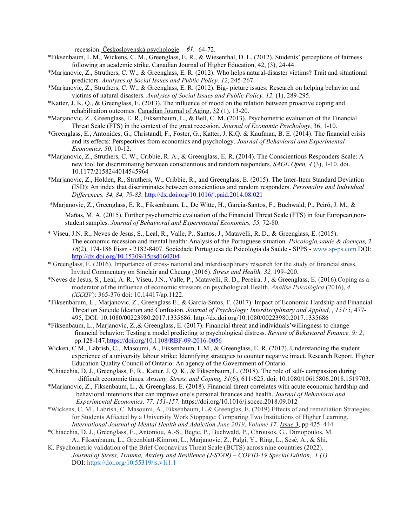recession. <u>Československá psychologie</u>, 61, 64-72.

- \*Fiksenbaum, L.M., Wickens, C. M., Greenglass, E. R., & Wiesenthal, D. L. (2012). Students' perceptions of fairness following an academic strike. Canadian Journal of Higher Education, 42, (3), 24-44.
- \*Marjanovic, Z., Struthers, C. W., & Greenglass, E. R. (2012). Who helps natural-disaster victims? Trait and situational predictors. *Analyses of Social Issues and Public Policy, 12*, 245-267.
- \*Marjanovic, Z., Struthers, C. W., & Greenglass, E. R. (2012). Big- picture issues: Research on helping behavior and victims of natural disasters. *Analyses of Social Issues and Public Policy, 12,* (1), 289-295.
- \*Katter, J. K. Q., & Greenglass, E. (2013). The influence of mood on the relation between proactive coping and rehabilitation outcomes. Canadian Journal of Aging, 32 (1), 13-20.
- \*Marjanovic, Z., Greenglass, E. R., Fiksenbaum, L., & Bell, C. M. (2013). Psychometric evaluation of the Financial Threat Scale (FTS) in the context of the great recession. *Journal of Economic Psychology*, 36, 1-10.
- \*Greenglass, E., Antonides, G., Christandl, F., Foster, G., Katter, J. K.Q. & Kaufman, B. E. (2014). The financial crisis and its effects: Perspectives from economics and psychology. *Journal of Behavioral and Experimental Economics, 50*, 10-12.
- \*Marjanovic, Z., Struthers, C. W., Cribbie, R. A., & Greenglass, E. R. (2014). The Conscientious Responders Scale: A new tool for discriminating between conscientious and random responders. *SAGE Open, 4* (3), 1-10. doi. 10.1177/2158244014545964
- \*Marjanovic, Z., Holden, R., Struthers, W., Cribbie, R., and Greenglass, E. (2015). The Inter-Item Standard Deviation (ISD): An index that discriminates between conscientious and random responders. *Personality and Individual Differences, 84, 84, 79-83*.<http://dx.doi.org/10.1016/j.paid.2014.08.021>
- \*Marjanovic, Z., Greenglass, E. R., Fiksenbaum, L., De Witte, H., Garcia-Santos, F., Buchwald, P., Peiró, J. M., & Mañas, M. A. (2015). Further psychometric evaluation of the Financial Threat Scale (FTS) in four European,nonstudent samples. *Journal of Behavioral and Experimental Economics, 55,* 72-80.
- \* Viseu, J.N. R., Neves de Jesus, S., Leal, R., Valle, P., Santos, J., Matavelli, R. D., & Greenglass, E. (2015). The economic recession and mental health: Analysis of the Portuguese situation. *Psicologia,saúde & doenças,* 2 *16*(2), 174-186 Eissn - 2182-8407. Sociedade Portuguesa de Psicologia da Saúde - SPPS - [www.sp-ps.com D](http://www.sp-ps.com/)OI: <http://dx.doi.org/10.15309/15psd160204>
- \* Greenglass, E. (2016). Importance of cross- national and interdisciplinary research for the study of financialstress, Invited Commentary on Sinclair and Cheung (2016). *Stress and Health, 32,* 199–200.
- \*Neves de Jesus, S., Leal, A. R., Viseu, J.N., Valle, P., Matavelli, R. D., Pereira, J., & Greenglass, E. (2016).Coping as a moderator of the influence of economic stressors on psychological Health. *Análise Psicológica* (2016), *4 (XXXIV*): 365-376 doi: 10.14417/ap.1122.
- **\***Fiksenbarum, L., Marjanovic, Z., Greenglass E., & Garcia-Sntos, F. (2017). Impact of Economic Hardship and Financial Threat on Suicide Ideation and Confusion. *Journal of Psychology: Interdisciplinary and Applied, , 151:5,* 477- 495, DOI: 10.1080/00223980.2017.1335686.<http://dx.doi.org/10.1080/00223980.2017.1335686>
- \*Fiksenbaum, L., Marjanovic, Z.,& Greenglass, E. (2017). Financial threat and individuals'willingness to change financial behavior: Testing a model predicting to psychological distress. *Review of Behavioral Finance, 9: 2*, pp.128-14[7,https://doi.org/10.1108/RBF-09-2016-0056](https://doi.org/10.1108/RBF-09-2016-0056)
- Wicken, C.M., Labrish, C., ,Masoumi, A., Fiksenbaum, L.M., & Greenglass, E. R. (2017). Understanding the student experience of a university labour strike: Identifying strategies to counter negative imact. Research Report. Higher Education Quality Council of Ontario: An agency of the Government of Ontario.
- \*Chiacchia, D. J., Greenglass, E. R., Katter, J. Q. K., & Fiksenbaum, L. (2018). The role of self- compassion during difficult economic times*. Anxiety, Stress, and Coping, 31*(6), 611-625. doi: 10.1080/10615806.2018.1519703.
- \*Marjanovic, Z., Fiksenbaum, L., & Greenglass, E. (2018). Financial threat correlates with acute economic hardship and behavioral intentions that can improve one's personal finances and health. *Journal of Behavioral and Experimental Economics, 77, 151-157.* https://doi.org/10.1016/j.socec.2018.09.012
- \*Wickens, C. M., Labrish, C. Masoumi, A., Fiksenbaum, L.& Greenglas, E. (2019) Effects of and remediation Strategies for Students Affected by a University Work Stoppage: Comparing Two Institutions of Higher Learning. *[International Journal of Mental Health and Addiction J](https://link.springer.com/journal/11469)une 2019, Volume 17, [Issue 3](https://link.springer.com/journal/11469/17/3/page/1)*, pp 425–444
- \*Chiacchia, D. J., Greenglass, E., Antoniou, A.-S., Begic, P., Buchwald, P., Chrousos, G., Dimopoulos, M. A., Fiksenbaum, L., Greenblatt-Kimron, L., Marjanovic, Z., Palgi, Y., Ring, L., Sesé, A., & Shi,
- K. Psychometric validation of the Brief Coronavirus Threat Scale (BCTS) across nine countries (2022). *Journal of Stress, Trauma, Anxiety and Resilience (J-STAR) – COVID-19 Special Edition, 1 (1).* DOI: <https://doi.org/10.55319/js.v1i1.1>